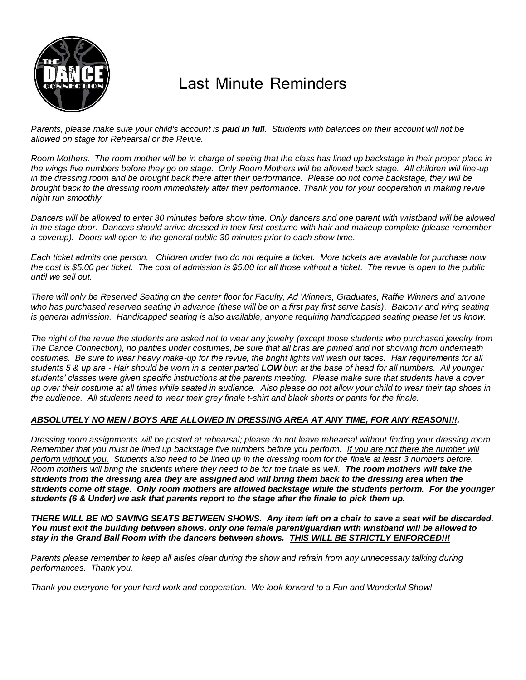

# Last Minute Reminders

Parents, please make sure your child's account is **paid in full**. Students with balances on their account will not be *allowed on stage for Rehearsal or the Revue.* 

*Room Mothers. The room mother will be in charge of seeing that the class has lined up backstage in their proper place in the wings five numbers before they go on stage. Only Room Mothers will be allowed back stage. All children will line-up in the dressing room and be brought back there after their performance. Please do not come backstage, they will be brought back to the dressing room immediately after their performance. Thank you for your cooperation in making revue night run smoothly.*

*Dancers will be allowed to enter 30 minutes before show time. Only dancers and one parent with wristband will be allowed in the stage door. Dancers should arrive dressed in their first costume with hair and makeup complete (please remember a coverup). Doors will open to the general public 30 minutes prior to each show time.*

*Each ticket admits one person. Children under two do not require a ticket. More tickets are available for purchase now the cost is \$5.00 per ticket. The cost of admission is \$5.00 for all those without a ticket. The revue is open to the public until we sell out.* 

*There will only be Reserved Seating on the center floor for Faculty, Ad Winners, Graduates, Raffle Winners and anyone who has purchased reserved seating in advance (these will be on a first pay first serve basis). Balcony and wing seating is general admission. Handicapped seating is also available, anyone requiring handicapped seating please let us know.* 

*The night of the revue the students are asked not to wear any jewelry (except those students who purchased jewelry from The Dance Connection), no panties under costumes, be sure that all bras are pinned and not showing from underneath*  costumes. Be sure to wear heavy make-up for the revue, the bright lights will wash out faces. Hair requirements for all *students 5 & up are - Hair should be worn in a center parted LOW bun at the base of head for all numbers. All younger students' classes were given specific instructions at the parents meeting. Please make sure that students have a cover up over their costume at all times while seated in audience. Also please do not allow your child to wear their tap shoes in the audience. All students need to wear their grey finale t-shirt and black shorts or pants for the finale.* 

# *ABSOLUTELY NO MEN / BOYS ARE ALLOWED IN DRESSING AREA AT ANY TIME, FOR ANY REASON!!!.*

*Dressing room assignments will be posted at rehearsal; please do not leave rehearsal without finding your dressing room. Remember that you must be lined up backstage five numbers before you perform. If you are not there the number will perform without you. Students also need to be lined up in the dressing room for the finale at least 3 numbers before. Room mothers will bring the students where they need to be for the finale as well. The room mothers will take the students from the dressing area they are assigned and will bring them back to the dressing area when the students come off stage. Only room mothers are allowed backstage while the students perform. For the younger students (6 & Under) we ask that parents report to the stage after the finale to pick them up.* 

*THERE WILL BE NO SAVING SEATS BETWEEN SHOWS. Any item left on a chair to save a seat will be discarded. You must exit the building between shows, only one female parent/guardian with wristband will be allowed to stay in the Grand Ball Room with the dancers between shows. THIS WILL BE STRICTLY ENFORCED!!!*

Parents please remember to keep all aisles clear during the show and refrain from any unnecessary talking during *performances. Thank you.*

*Thank you everyone for your hard work and cooperation. We look forward to a Fun and Wonderful Show!*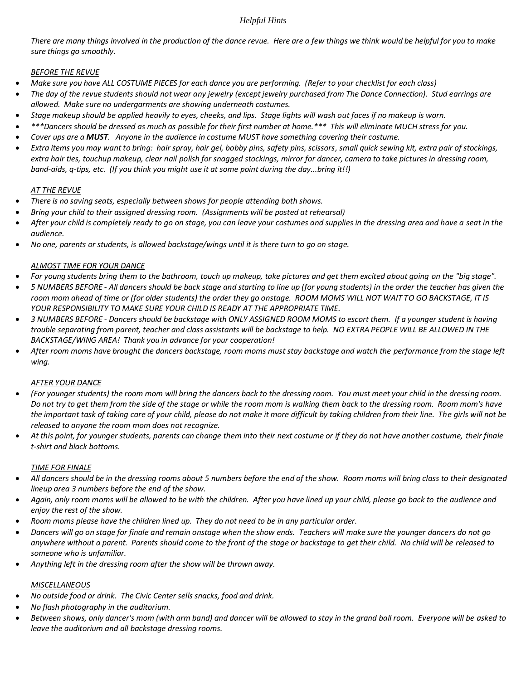# *Helpful Hints*

*There are many things involved in the production of the dance revue. Here are a few things we think would be helpful for you to make sure things go smoothly.*

#### *BEFORE THE REVUE*

- *Make sure you have ALL COSTUME PIECES for each dance you are performing. (Refer to your checklist for each class)*
- *The day of the revue students should not wear any jewelry (except jewelry purchased from The Dance Connection). Stud earrings are allowed. Make sure no undergarments are showing underneath costumes.*
- *Stage makeup should be applied heavily to eyes, cheeks, and lips. Stage lights will wash out faces if no makeup is worn.*
- *\*\*\*Dancers should be dressed as much as possible for their first number at home.\*\*\* This will eliminate MUCH stress for you.*
- *Cover ups are a MUST. Anyone in the audience in costume MUST have something covering their costume.*
- *Extra items you may want to bring: hair spray, hair gel, bobby pins, safety pins, scissors, small quick sewing kit, extra pair of stockings, extra hair ties, touchup makeup, clear nail polish for snagged stockings, mirror for dancer, camera to take pictures in dressing room, band-aids, q-tips, etc. (If you think you might use it at some point during the day...bring it!!)*

# *AT THE REVUE*

- *There is no saving seats, especially between shows for people attending both shows.*
- *Bring your child to their assigned dressing room. (Assignments will be posted at rehearsal)*
- *After your child is completely ready to go on stage, you can leave your costumes and supplies in the dressing area and have a seat in the audience.*
- *No one, parents or students, is allowed backstage/wings until it is there turn to go on stage.*

# *ALMOST TIME FOR YOUR DANCE*

- *For young students bring them to the bathroom, touch up makeup, take pictures and get them excited about going on the "big stage".*
- *5 NUMBERS BEFORE - All dancers should be back stage and starting to line up (for young students) in the order the teacher has given the room mom ahead of time or (for older students) the order they go onstage. ROOM MOMS WILL NOT WAIT TO GO BACKSTAGE, IT IS YOUR RESPONSIBILITY TO MAKE SURE YOUR CHILD IS READY AT THE APPROPRIATE TIME.*
- *3 NUMBERS BEFORE - Dancers should be backstage with ONLY ASSIGNED ROOM MOMS to escort them. If a younger student is having trouble separating from parent, teacher and class assistants will be backstage to help. NO EXTRA PEOPLE WILL BE ALLOWED IN THE BACKSTAGE/WING AREA! Thank you in advance for your cooperation!*
- *After room moms have brought the dancers backstage, room moms must stay backstage and watch the performance from the stage left wing.*

#### *AFTER YOUR DANCE*

- *(For younger students) the room mom will bring the dancers back to the dressing room. You must meet your child in the dressing room. Do not try to get them from the side of the stage or while the room mom is walking them back to the dressing room. Room mom's have the important task of taking care of your child, please do not make it more difficult by taking children from their line. The girls will not be released to anyone the room mom does not recognize.*
- *At this point, for younger students, parents can change them into their next costume or if they do not have another costume, their finale t-shirt and black bottoms.*

### *TIME FOR FINALE*

- *All dancers should be in the dressing rooms about 5 numbers before the end of the show. Room moms will bring class to their designated lineup area 3 numbers before the end of the show.*
- *Again, only room moms will be allowed to be with the children. After you have lined up your child, please go back to the audience and enjoy the rest of the show.*
- *Room moms please have the children lined up. They do not need to be in any particular order.*
- *Dancers will go on stage for finale and remain onstage when the show ends. Teachers will make sure the younger dancers do not go anywhere without a parent. Parents should come to the front of the stage or backstage to get their child. No child will be released to someone who is unfamiliar.*
- *Anything left in the dressing room after the show will be thrown away.*

# *MISCELLANEOUS*

- *No outside food or drink. The Civic Center sells snacks, food and drink.*
- *No flash photography in the auditorium.*
- *Between shows, only dancer's mom (with arm band) and dancer will be allowed to stay in the grand ball room. Everyone will be asked to leave the auditorium and all backstage dressing rooms.*